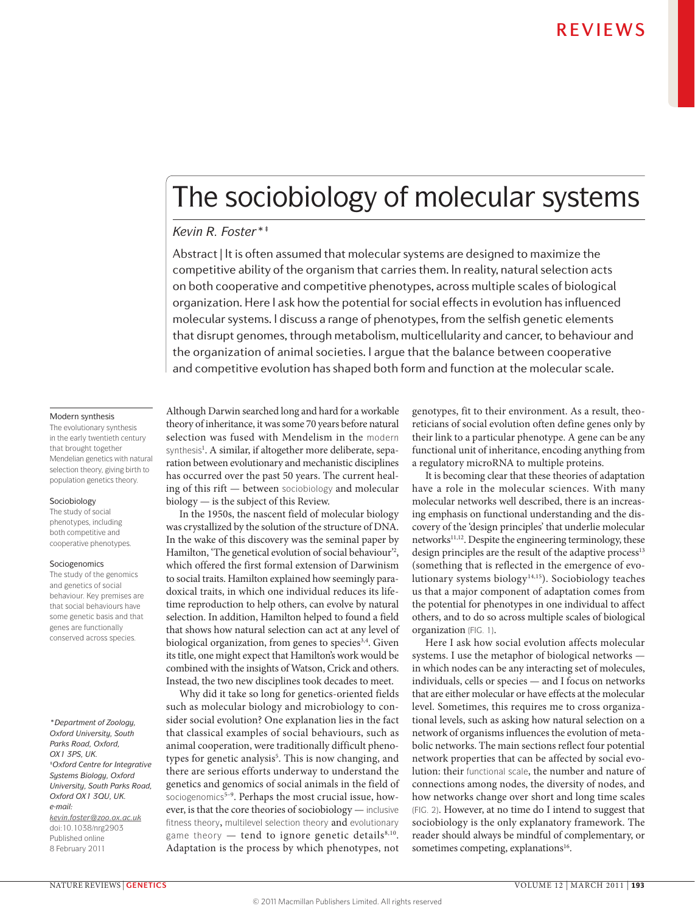# The sociobiology of molecular systems

#### *Kevin R. Foster\*‡*

Abstract | It is often assumed that molecular systems are designed to maximize the competitive ability of the organism that carries them. In reality, natural selection acts on both cooperative and competitive phenotypes, across multiple scales of biological organization. Here I ask how the potential for social effects in evolution has influenced molecular systems. I discuss a range of phenotypes, from the selfish genetic elements that disrupt genomes, through metabolism, multicellularity and cancer, to behaviour and the organization of animal societies. I argue that the balance between cooperative and competitive evolution has shaped both form and function at the molecular scale.

#### Modern synthesis

The evolutionary synthesis in the early twentieth century that brought together Mendelian genetics with natural selection theory, giving birth to population genetics theory.

#### Sociobiology

The study of social phenotypes, including both competitive and cooperative phenotypes.

#### Sociogenomics

The study of the genomics and genetics of social behaviour. Key premises are that social behaviours have some genetic basis and that genes are functionally conserved across species.

*\*Department of Zoology, Oxford University, South Parks Road, Oxford, OX1 3PS, UK. ‡Oxford Centre for Integrative Systems Biology, Oxford University, South Parks Road, Oxford OX1 3QU, UK. e-mail: [kevin.foster@zoo.ox.ac.uk](mailto:kevin.foster@zoo.ox.ac.uk)* doi:10.1038/nrg2903 Published online 8 February 2011

Although Darwin searched long and hard for a workable theory of inheritance, it was some 70 years before natural selection was fused with Mendelism in the modern synthesis<sup>1</sup>. A **similar, if altogether more deliberate, sepa**ration between evolutionary and mechanistic disciplines has occurred over the past 50 years. The current healing of this rift — between sociobiology and molecular biology — is the subject of this Review.

In the 1950s, the nascent field of molecular biology was crystallized by the solution of the structure of DNA. In the wake of this discovery was the seminal paper by Hamilton, 'The genetical evolution of social behaviour'2 , which offered the first formal extension of Darwinism to social traits. Hamilton explained how seemingly paradoxical traits, in which one individual reduces its lifetime reproduction to help others, can evolve by natural selection. In addition, Hamilton helped to found a field that shows how natural selection can act at any level of biological organization, from genes to species<sup>3,4</sup>. Given its title, one might expect that Hamilton's work would be combined with the insights of Watson, Crick and others. Instead, the two new disciplines took decades to meet.

Why did it take so long for genetics-oriented fields such as molecular biology and microbiology to consider social evolution? One explanation lies in the fact that classical examples of social behaviours, such as animal cooperation, were traditionally difficult phenotypes for genetic analysis<sup>5</sup>. This is now changing, and there are serious efforts underway to understand the genetics and genomics of social animals in the field of sociogenomics $5-9$ . Perhaps the most crucial issue, however, is that the core theories of sociobiology — inclusive fitness theory, multilevel selection theory and evolutionary game theory  $-$  tend to ignore genetic details<sup>8,10</sup>. Adaptation is the process by which phenotypes, not genotypes, fit to their environment. As a result, theoreticians of social evolution often define genes only by their link to a particular phenotype. A gene can be any functional unit of inheritance, encoding anything from a regulatory microRNA to multiple proteins.

It is becoming clear that these theories of adaptation have a role in the molecular sciences. With many molecular networks well described, there is an increasing emphasis on functional understanding and the discovery of the 'design principles' that underlie molecular networks<sup>11,12</sup>. Despite the engineering terminology, these design principles are the result of the adaptive process<sup>13</sup> (something that is reflected in the emergence of evolutionary systems biology<sup>14,15</sup>). Sociobiology teaches us that a major component of adaptation comes from the potential for phenotypes in one individual to affect others, and to do so across multiple scales of biological organization (FIG. 1).

Here I ask how social evolution affects molecular systems. I use the metaphor of biological networks in which nodes can be any interacting set of molecules, individuals, cells or species — and I focus on networks that are either molecular or have effects at the molecular level. Sometimes, this requires me to cross organizational levels, such as asking how natural selection on a network of organisms influences the evolution of metabolic networks. The main sections reflect four potential network properties that can be affected by social evolution: their functional scale, the number and nature of connections among nodes, the diversity of nodes, and how networks change over short and long time scales (FIG. 2). However, at no time do I intend to suggest that sociobiology is the only explanatory framework. The reader should always be mindful of complementary, or sometimes competing, explanations<sup>16</sup>.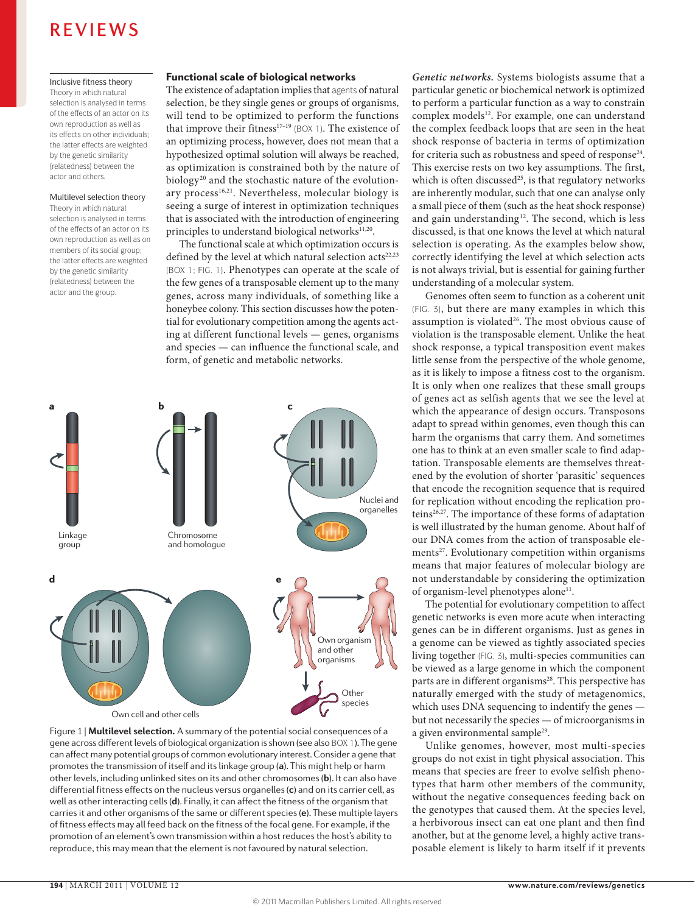#### Inclusive fitness theory

Theory in which natural selection is analysed in terms of the effects of an actor on its own reproduction as well as its effects on other individuals; the latter effects are weighted by the genetic similarity (relatedness) between the actor and others.

#### Multilevel selection theory

Theory in which natural selection is analysed in terms of the effects of an actor on its own reproduction as well as on members of its social group; the latter effects are weighted by the genetic similarity (relatedness) between the actor and the group.

#### Functional scale of biological networks

The existence of adaptation implies that agents of natural selection, be they single genes or groups of organisms, will tend to be optimized to perform the functions that improve their fitness<sup>17-19</sup> (BOX 1). The existence of an optimizing process, however, does not mean that a hypothesized optimal solution will always be reached, as optimization is constrained both by the nature of biology<sup>20</sup> and the stochastic nature of the evolutionary process<sup>16,21</sup>. Nevertheless, molecular biology is seeing a surge of interest in optimization techniques that is associated with the introduction of engineering principles to understand biological networks<sup>11,20</sup>.

The functional scale at which optimization occurs is defined by the level at which natural selection acts<sup>22,23</sup> (BOX 1; FIG. 1). Phenotypes can operate at the scale of the few genes of a transposable element up to the many genes, across many individuals, of something like a honeybee colony. This section discusses how the potential for evolutionary competition among the agents acting at different functional levels — genes, organisms and species — can influence the functional scale, and form, of genetic and metabolic networks.



*of gails* **2** *) matrice exercision resummary* or the potential social consequences or a<br>gene across different levels of biological organization is shown (see also BOX 1). The gene Figure 1 | **Multilevel selection.** A summary of the potential social consequences of a can affect many potential groups of common evolutionary interest. Consider a gene that promotes the transmission of itself and its linkage group (**a**). This might help or harm other levels, including unlinked sites on its and other chromosomes (**b**). It can also have differential fitness effects on the nucleus versus organelles (**c**) and on its carrier cell, as well as other interacting cells (**d**). Finally, it can affect the fitness of the organism that carries it and other organisms of the same or different species (**e**). These multiple layers of fitness effects may all feed back on the fitness of the focal gene. For example, if the promotion of an element's own transmission within a host reduces the host's ability to reproduce, this may mean that the element is not favoured by natural selection.

*Genetic networks.* Systems biologists assume that a particular genetic or biochemical network is optimized to perform a particular function as a way to constrain complex models<sup>12</sup>. For example, one can understand the complex feedback loops that are seen in the heat shock response of bacteria in terms of optimization for criteria such as robustness and speed of response<sup>24</sup>. This exercise rests on two key assumptions. The first, which is often discussed<sup>25</sup>, is that regulatory networks are inherently modular, such that one can analyse only a small piece of them (such as the heat shock response) and gain understanding<sup>12</sup>. The second, which is less discussed, is that one knows the level at which natural selection is operating. As the examples below show, correctly identifying the level at which selection acts is not always trivial, but is essential for gaining further understanding of a molecular system.

Genomes often seem to function as a coherent unit (FIG. 3), but there are many examples in which this assumption is violated<sup>26</sup>. The most obvious cause of violation is the transposable element. Unlike the heat shock response, a typical transposition event makes little sense from the perspective of the whole genome, as it is likely to impose a fitness cost to the organism. It is only when one realizes that these small groups of genes act as selfish agents that we see the level at which the appearance of design occurs. Transposons adapt to spread within genomes, even though this can harm the organisms that carry them. And sometimes one has to think at an even smaller scale to find adaptation. Transposable elements are themselves threatened by the evolution of shorter 'parasitic' sequences that encode the recognition sequence that is required for replication without encoding the replication proteins<sup>26,27</sup>. The importance of these forms of adaptation is well illustrated by the human genome. About half of our DNA comes from the action of transposable elements<sup>27</sup>. Evolutionary competition within organisms means that major features of molecular biology are not understandable by considering the optimization of organism-level phenotypes alone<sup>11</sup>.

The potential for evolutionary competition to affect genetic networks is even more acute when interacting genes can be in different organisms. Just as genes in a genome can be viewed as tightly associated species living together (FIG. 3), multi-species communities can be viewed as a large genome in which the component parts are in different organisms<sup>28</sup>. This perspective has naturally emerged with the study of metagenomics, which uses DNA sequencing to indentify the genes but not necessarily the species — of microorganisms in a given environmental sample<sup>29</sup>.

Unlike genomes, however, most multi-species groups do not exist in tight physical association. This means that species are freer to evolve selfish phenotypes that harm other members of the community, without the negative consequences feeding back on the genotypes that caused them. At the species level, a herbivorous insect can eat one plant and then find another, but at the genome level, a highly active transposable element is likely to harm itself if it prevents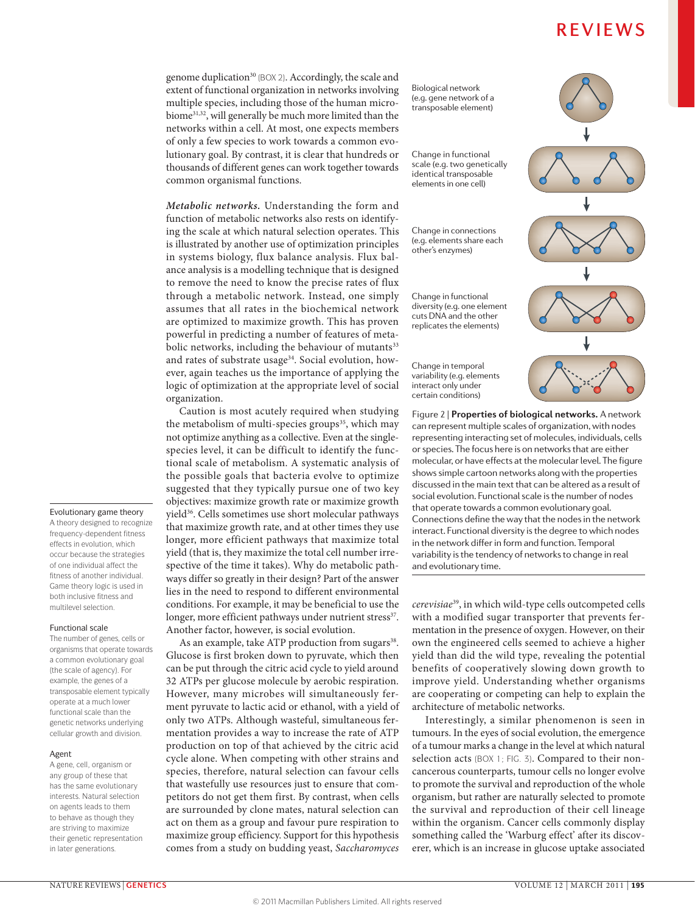genome duplication<sup>30</sup> (BOX 2). Accordingly, the scale and extent of functional organization in networks involving multiple species, including those of the human microbiome31,32, will generally be much more limited than the networks within a cell. At most, one expects members of only a few species to work towards a common evolutionary goal. By contrast, it is clear that hundreds or thousands of different genes can work together towards common organismal functions.

Metabolic networks. Understanding the form and function of metabolic networks also rests on identifying the scale at which natural selection operates. This is illustrated by another use of optimization principles in systems biology, flux balance analysis. Flux balance analysis is a modelling technique that is designed to remove the need to know the precise rates of flux through a metabolic network. Instead, one simply assumes that all rates in the biochemical network are optimized to maximize growth. This has proven powerful in predicting a number of features of metabolic networks, including the behaviour of mutants<sup>33</sup> and rates of substrate usage<sup>34</sup>. Social evolution, however, again teaches us the importance of applying the logic of optimization at the appropriate level of social organization.

Caution is most acutely required when studying the metabolism of multi-species groups<sup>35</sup>, which may not optimize anything as a collective. Even at the singlespecies level, it can be difficult to identify the functional scale of metabolism. A systematic analysis of the possible goals that bacteria evolve to optimize suggested that they typically pursue one of two key objectives: maximize growth rate or maximize growth yield<sup>36</sup>. Cells sometimes use short molecular pathways that maximize growth rate, and at other times they use longer, more efficient pathways that maximize total yield (that is, they maximize the total cell number irrespective of the time it takes). Why do metabolic pathways differ so greatly in their design? Part of the answer lies in the need to respond to different environmental conditions. For example, it may be beneficial to use the longer, more efficient pathways under nutrient stress<sup>37</sup>. Another factor, however, is social evolution.

As an example, take ATP production from sugars<sup>38</sup>. Glucose is first broken down to pyruvate, which then can be put through the citric acid cycle to yield around 32 ATPs per glucose molecule by aerobic respiration. However, many microbes will simultaneously ferment pyruvate to lactic acid or ethanol, with a yield of only two ATPs. Although wasteful, simultaneous fermentation provides a way to increase the rate of ATP production on top of that achieved by the citric acid cycle alone. When competing with other strains and species, therefore, natural selection can favour cells that wastefully use resources just to ensure that competitors do not get them first. By contrast, when cells are surrounded by clone mates, natural selection can act on them as a group and favour pure respiration to maximize group efficiency. Support for this hypothesis comes from a study on budding yeast, *Saccharomyces* 



can represent multiple scales of organization, with nodes Figure 2 | **Properties of biological networks.** A network representing interacting set of molecules, individuals, cells or species. The focus here is on networks that are either molecular, or have effects at the molecular level. The figure shows simple cartoon networks along with the properties discussed in the main text that can be altered as a result of social evolution. Functional scale is the number of nodes that operate towards a common evolutionary goal. Connections define the way that the nodes in the network interact. Functional diversity is the degree to which nodes in the network differ in form and function. Temporal variability is the tendency of networks to change in real and evolutionary time.

*cerevisiae*39, in which wild-type cells outcompeted cells with a modified sugar transporter that prevents fermentation in the presence of oxygen. However, on their own the engineered cells seemed to achieve a higher yield than did the wild type, revealing the potential benefits of cooperatively slowing down growth to improve yield. Understanding whether organisms are cooperating or competing can help to explain the architecture of metabolic networks.

Interestingly, a similar phenomenon is seen in tumours. In the eyes of social evolution, the emergence of a tumour marks a change in the level at which natural selection acts (BOX 1; FIG. 3). Compared to their noncancerous counterparts, tumour cells no longer evolve to promote the survival and reproduction of the whole organism, but rather are naturally selected to promote the survival and reproduction of their cell lineage within the organism. Cancer cells commonly display something called the 'Warburg effect' after its discoverer, which is an increase in glucose uptake associated

Evolutionary game theory A theory designed to recognize frequency-dependent fitness effects in evolution, which occur because the strategies of one individual affect the fitness of another individual. Game theory logic is used in both inclusive fitness and multilevel selection.

#### Functional scale

The number of genes, cells or organisms that operate towards a common evolutionary goal (the scale of agency). For example, the genes of a transposable element typically operate at a much lower functional scale than the genetic networks underlying cellular growth and division.

#### Agent

A gene, cell, organism or any group of these that has the same evolutionary interests. Natural selection on agents leads to them to behave as though they are striving to maximize their genetic representation in later generations.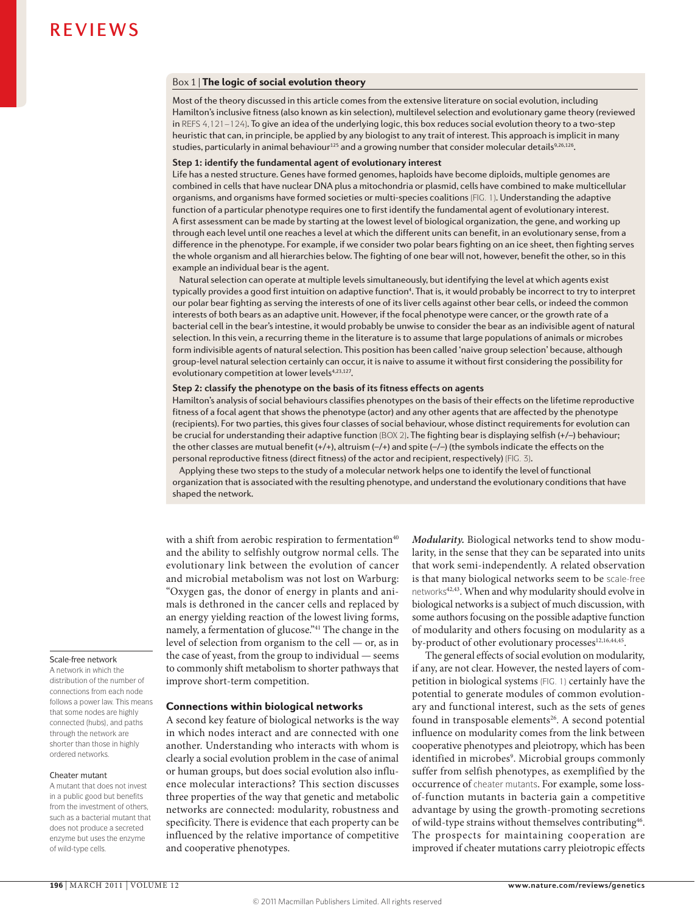#### Box 1 | The logic of social evolution theory

Most of the theory discussed in this article comes from the extensive literature on social evolution, including Hamilton's inclusive fitness (also known as kin selection), multilevel selection and evolutionary game theory (reviewed in ReFs 4,121–124). To give an idea of the underlying logic, this box reduces social evolution theory to a two-step heuristic that can, in principle, be applied by any biologist to any trait of interest. This approach is implicit in many studies, particularly in animal behaviour<sup>125</sup> and a growing number that consider molecular details<sup>9,26,126</sup>.

#### **step 1: identify the fundamental agent of evolutionary interest**

Life has a nested structure. Genes have formed genomes, haploids have become diploids, multiple genomes are combined in cells that have nuclear DNA plus a mitochondria or plasmid, cells have combined to make multicellular organisms, and organisms have formed societies or multi-species coalitions (FIG. 1). Understanding the adaptive function of a particular phenotype requires one to first identify the fundamental agent of evolutionary interest. A first assessment can be made by starting at the lowest level of biological organization, the gene, and working up through each level until one reaches a level at which the different units can benefit, in an evolutionary sense, from a difference in the phenotype. For example, if we consider two polar bears fighting on an ice sheet, then fighting serves the whole organism and all hierarchies below. The fighting of one bear will not, however, benefit the other, so in this example an individual bear is the agent.

Natural selection can operate at multiple levels simultaneously, but identifying the level at which agents exist typically provides a good first intuition on adaptive function<sup>4</sup>. That is, it would probably be incorrect to try to interpret our polar bear fighting as serving the interests of one of its liver cells against other bear cells, or indeed the common interests of both bears as an adaptive unit. However, if the focal phenotype were cancer, or the growth rate of a bacterial cell in the bear's intestine, it would probably be unwise to consider the bear as an indivisible agent of natural selection. In this vein, a recurring theme in the literature is to assume that large populations of animals or microbes form indivisible agents of natural selection. This position has been called 'naive group selection' because, although group-level natural selection certainly can occur, it is naive to assume it without first considering the possibility for evolutionary competition at lower levels<sup>4,23,127</sup>.

#### **step 2: classify the phenotype on the basis of its fitness effects on agents**

Hamilton's analysis of social behaviours classifies phenotypes on the basis of their effects on the lifetime reproductive fitness of a focal agent that shows the phenotype (actor) and any other agents that are affected by the phenotype (recipients). For two parties, this gives four classes of social behaviour, whose distinct requirements for evolution can be crucial for understanding their adaptive function (BOX 2). The fighting bear is displaying selfish (+/-) behaviour; the other classes are mutual benefit  $(+/+)$ , altruism  $(-/+)$  and spite  $(-/-)$  (the symbols indicate the effects on the personal reproductive fitness (direct fitness) of the actor and recipient, respectively) (FIG. 3).

Applying these two steps to the study of a molecular network helps one to identify the level of functional organization that is associated with the resulting phenotype, and understand the evolutionary conditions that have shaped the network.

with a shift from aerobic respiration to fermentation<sup>40</sup> and the ability to selfishly outgrow normal cells. The evolutionary link between the evolution of cancer and microbial metabolism was not lost on Warburg: "Oxygen gas, the donor of energy in plants and animals is dethroned in the cancer cells and replaced by an energy yielding reaction of the lowest living forms, namely, a fermentation of glucose."41 The change in the level of selection from organism to the cell — or, as in the case of yeast, from the group to individual — seems to commonly shift metabolism to shorter pathways that improve short-term competition.

#### Connections within biological networks

A second key feature of biological networks is the way in which nodes interact and are connected with one another. Understanding who interacts with whom is clearly a social evolution problem in the case of animal or human groups, but does social evolution also influence molecular interactions? This section discusses three properties of the way that genetic and metabolic networks are connected: modularity, robustness and specificity. There is evidence that each property can be influenced by the relative importance of competitive and cooperative phenotypes.

*Modularity.* Biological networks tend to show modularity, in the sense that they can be separated into units that work semi-independently. A related observation is that many biological networks seem to be scale-free networks42,43. When and why modularity should evolve in biological networks is a subject of much discussion, with some authors focusing on the possible adaptive function of modularity and others focusing on modularity as a by-product of other evolutionary processes<sup>12,16,44,45</sup>.

The general effects of social evolution on modularity, if any, are not clear. However, the nested layers of competition in biological systems (FIG. 1) certainly have the potential to generate modules of common evolutionary and functional interest, such as the sets of genes found in transposable elements<sup>26</sup>. A second potential influence on modularity comes from the link between cooperative phenotypes and pleiotropy, which has been identified in microbes<sup>9</sup>. Microbial groups commonly suffer from selfish phenotypes, as exemplified by the occurrence of cheater mutants. For example, some lossof-function mutants in bacteria gain a competitive advantage by using the growth-promoting secretions of wild-type strains without themselves contributing46. The prospects for maintaining cooperation are improved if cheater mutations carry pleiotropic effects

#### Scale-free network

A network in which the distribution of the number of connections from each node follows a power law. This means that some nodes are highly connected (hubs), and paths through the network are shorter than those in highly ordered networks.

#### Cheater mutant

A mutant that does not invest in a public good but benefits from the investment of others, such as a bacterial mutant that does not produce a secreted enzyme but uses the enzyme of wild-type cells.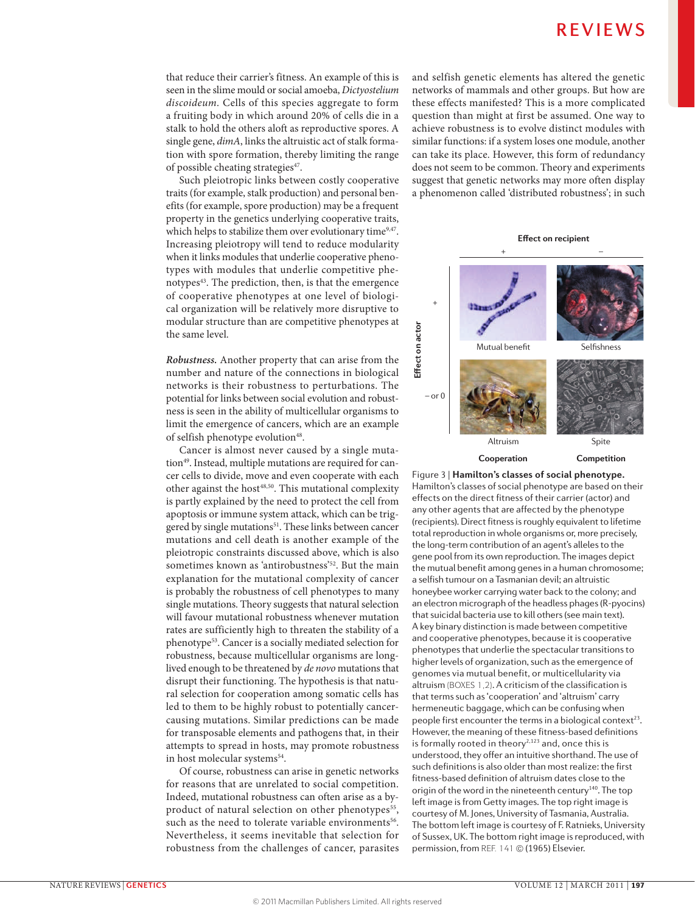that reduce their carrier's fitness. An example of this is seen in the slime mould or social amoeba, *Dictyostelium discoideum*. Cells of this species aggregate to form a fruiting body in which around 20% of cells die in a stalk to hold the others aloft as reproductive spores. A single gene, *dimA*, links the altruistic act of stalk formation with spore formation, thereby limiting the range of possible cheating strategies<sup>47</sup>.

Such pleiotropic links between costly cooperative traits (for example, stalk production) and personal benefits (for example, spore production) may be a frequent property in the genetics underlying cooperative traits, which helps to stabilize them over evolutionary time<sup>9,47</sup>. Increasing pleiotropy will tend to reduce modularity when it links modules that underlie cooperative phenotypes with modules that underlie competitive phenotypes<sup>43</sup>. The prediction, then, is that the emergence of cooperative phenotypes at one level of biological organization will be relatively more disruptive to modular structure than are competitive phenotypes at the same level.

*Robustness.* Another property that can arise from the number and nature of the connections in biological networks is their robustness to perturbations. The potential for links between social evolution and robustness is seen in the ability of multicellular organisms to limit the emergence of cancers, which are an example of selfish phenotype evolution<sup>48</sup>.

Cancer is almost never caused by a single mutation<sup>49</sup>. Instead, multiple mutations are required for cancer cells to divide, move and even cooperate with each other against the host<sup>48,50</sup>. This mutational complexity is partly explained by the need to protect the cell from apoptosis or immune system attack, which can be triggered by single mutations<sup>51</sup>. These links between cancer mutations and cell death is another example of the pleiotropic constraints discussed above, which is also sometimes known as 'antirobustness'<sup>52</sup>. But the main explanation for the mutational complexity of cancer is probably the robustness of cell phenotypes to many single mutations. Theory suggests that natural selection will favour mutational robustness whenever mutation rates are sufficiently high to threaten the stability of a phenotype53. Cancer is a socially mediated selection for robustness, because multicellular organisms are longlived enough to be threatened by *de novo* mutations that disrupt their functioning. The hypothesis is that natural selection for cooperation among somatic cells has led to them to be highly robust to potentially cancercausing mutations. Similar predictions can be made for transposable elements and pathogens that, in their attempts to spread in hosts, may promote robustness in host molecular systems<sup>54</sup>.

Of course, robustness can arise in genetic networks for reasons that are unrelated to social competition. Indeed, mutational robustness can often arise as a byproduct of natural selection on other phenotypes<sup>55</sup>, such as the need to tolerate variable environments<sup>56</sup>. Nevertheless, it seems inevitable that selection for robustness from the challenges of cancer, parasites and selfish genetic elements has altered the genetic networks of mammals and other groups. But how are these effects manifested? This is a more complicated question than might at first be assumed. One way to achieve robustness is to evolve distinct modules with similar functions: if a system loses one module, another can take its place. However, this form of redundancy does not seem to be common. Theory and experiments suggest that genetic networks may more often display a phenomenon called 'distributed robustness'; in such



*0CVWTG-4GXKGYU* ^ *)GPGVKEU* Hamilton's classes of social phenotype are based on their Figure 3 | **Hamilton's classes of social phenotype.**  effects on the direct fitness of their carrier (actor) and any other agents that are affected by the phenotype (recipients). Direct fitness is roughly equivalent to lifetime total reproduction in whole organisms or, more precisely, the long-term contribution of an agent's alleles to the gene pool from its own reproduction. The images depict the mutual benefit among genes in a human chromosome; a selfish tumour on a Tasmanian devil; an altruistic honeybee worker carrying water back to the colony; and an electron micrograph of the headless phages (R-pyocins) that suicidal bacteria use to kill others (see main text). A key binary distinction is made between competitive and cooperative phenotypes, because it is cooperative phenotypes that underlie the spectacular transitions to higher levels of organization, such as the emergence of genomes via mutual benefit, or multicellularity via altruism (BOXes 1,2). A criticism of the classification is that terms such as 'cooperation' and 'altruism' carry hermeneutic baggage, which can be confusing when people first encounter the terms in a biological context<sup>23</sup>. However, the meaning of these fitness-based definitions is formally rooted in theory<sup>2,123</sup> and, once this is understood, they offer an intuitive shorthand. The use of such definitions is also older than most realize: the first fitness-based definition of altruism dates close to the origin of the word in the nineteenth century<sup>140</sup>. The top left image is from Getty images. The top right image is courtesy of M. Jones, University of Tasmania, Australia. The bottom left image is courtesy of F. Ratnieks, University of Sussex, UK. The bottom right image is reproduced, with permission, from ReF. 141 © (1965) Elsevier.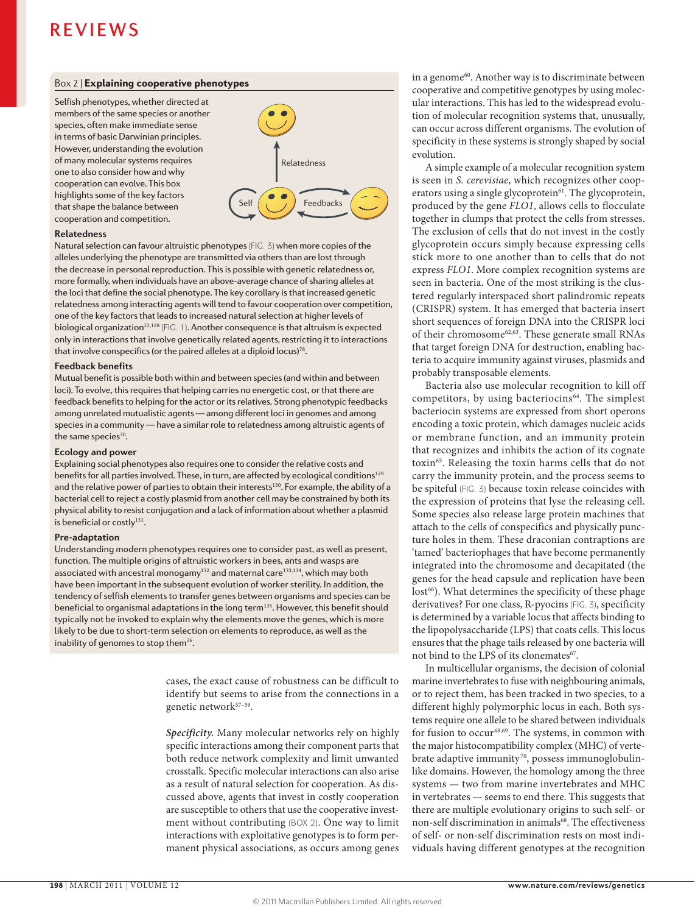#### Box 2 | Explaining cooperative phenotypes

Selfish phenotypes, whether directed at members of the same species or another species, often make immediate sense in terms of basic Darwinian principles. However, understanding the evolution of many molecular systems requires one to also consider how and why cooperation can evolve. This box highlights some of the key factors that shape the balance between cooperation and competition.



#### **Relatedness**

**Natural selection can favour altruistic phenotypes (FIG. 3) when more copies of the** alleles underlying the phenotype are transmitted via others than are lost through the decrease in personal reproduction. This is possible with genetic relatedness or, more formally, when individuals have an above-average chance of sharing alleles at the loci that define the social phenotype. The key corollary is that increased genetic relatedness among interacting agents will tend to favour cooperation over competition, one of the key factors that leads to increased natural selection at higher levels of biological organization<sup>22,128</sup> (FIG. 1). Another consequence is that altruism is expected only in interactions that involve genetically related agents, restricting it to interactions that involve conspecifics (or the paired alleles at a diploid locus) $78$ .

#### **Feedback benefits**

Mutual benefit is possible both within and between species (and within and between loci). To evolve, this requires that helping carries no energetic cost, or that there are feedback benefits to helping for the actor or its relatives. Strong phenotypic feedbacks among unrelated mutualistic agents — among different loci in genomes and among species in a community — have a similar role to relatedness among altruistic agents of the same species<sup>30</sup>.

#### **ecology and power**

Explaining social phenotypes also requires one to consider the relative costs and benefits for all parties involved. These, in turn, are affected by ecological conditions<sup>129</sup> and the relative power of parties to obtain their interests<sup>130</sup>. For example, the ability of a bacterial cell to reject a costly plasmid from another cell may be constrained by both its physical ability to resist conjugation and a lack of information about whether a plasmid is beneficial or costly<sup>131</sup>.

#### **Pre-adaptation**

Understanding modern phenotypes requires one to consider past, as well as present, function. The multiple origins of altruistic workers in bees, ants and wasps are associated with ancestral monogamy<sup>132</sup> and maternal care<sup>133,134</sup>, which may both have been important in the subsequent evolution of worker sterility. In addition, the tendency of selfish elements to transfer genes between organisms and species can be beneficial to organismal adaptations in the long term<sup>135</sup>. However, this benefit should typically not be invoked to explain why the elements move the genes, which is more likely to be due to short-term selection on elements to reproduce, as well as the inability of genomes to stop them<sup>26</sup>.

> cases, the exact cause of robustness can be difficult to identify but seems to arise from the connections in a genetic network<sup>57-59</sup>.

> *Specificity.* Many molecular networks rely on highly specific interactions among their component parts that both reduce network complexity and limit unwanted crosstalk. Specific molecular interactions can also arise as a result of natural selection for cooperation. As discussed above, agents that invest in costly cooperation are susceptible to others that use the cooperative investment without contributing (BOX 2). One way to limit interactions with exploitative genotypes is to form permanent physical associations, as occurs among genes

in a genome<sup>60</sup>. Another way is to discriminate between cooperative and competitive genotypes by using molecular interactions. This has led to the widespread evolution of molecular recognition systems that, unusually, can occur across different organisms. The evolution of specificity in these systems is strongly shaped by social evolution.

A simple example of a molecular recognition system is seen in *S. cerevisiae*, which recognizes other cooperators using a single glycoprotein<sup>61</sup>. The glycoprotein, produced by the gene *FLO1*, allows cells to flocculate together in clumps that protect the cells from stresses. The exclusion of cells that do not invest in the costly glycoprotein occurs simply because expressing cells stick more to one another than to cells that do not express *FLO1*. More complex recognition systems are seen in bacteria. One of the most striking is the clustered regularly interspaced short palindromic repeats (CRISPR) system. It has emerged that bacteria insert short sequences of foreign DNA into the CRISPR loci of their chromosome<sup>62,63</sup>. These generate small RNAs that target foreign DNA for destruction, enabling bacteria to acquire immunity against viruses, plasmids and probably transposable elements.

Bacteria also use molecular recognition to kill off competitors, by using bacteriocins<sup>64</sup>. The simplest bacteriocin systems are expressed from short operons encoding a toxic protein, which damages nucleic acids or membrane function, and an immunity protein that recognizes and inhibits the action of its cognate toxin65. Releasing the toxin harms cells that do not carry the immunity protein, and the process seems to be spiteful (FIG. 3) because toxin release coincides with the expression of proteins that lyse the releasing cell. Some species also release large protein machines that attach to the cells of conspecifics and physically puncture holes in them. These draconian contraptions are 'tamed' bacteriophages that have become permanently integrated into the chromosome and decapitated (the genes for the head capsule and replication have been lost<sup>66</sup>). What determines the specificity of these phage derivatives? For one class, R-pyocins (FIG. 3), specificity is determined by a variable locus that affects binding to the lipopolysaccharide (LPS) that coats cells. This locus ensures that the phage tails released by one bacteria will not bind to the LPS of its clonemates<sup>67</sup>.

In multicellular organisms, the decision of colonial marine invertebrates to fuse with neighbouring animals, or to reject them, has been tracked in two species, to a different highly polymorphic locus in each. Both systems require one allele to be shared between individuals for fusion to occur<sup>68,69</sup>. The systems, in common with the major histocompatibility complex (MHC) of vertebrate adaptive immunity<sup>70</sup>, possess immunoglobulinlike domains. However, the homology among the three systems — two from marine invertebrates and MHC in vertebrates — seems to end there. This suggests that there are multiple evolutionary origins to such self- or non-self discrimination in animals<sup>68</sup>. The effectiveness of self- or non-self discrimination rests on most individuals having different genotypes at the recognition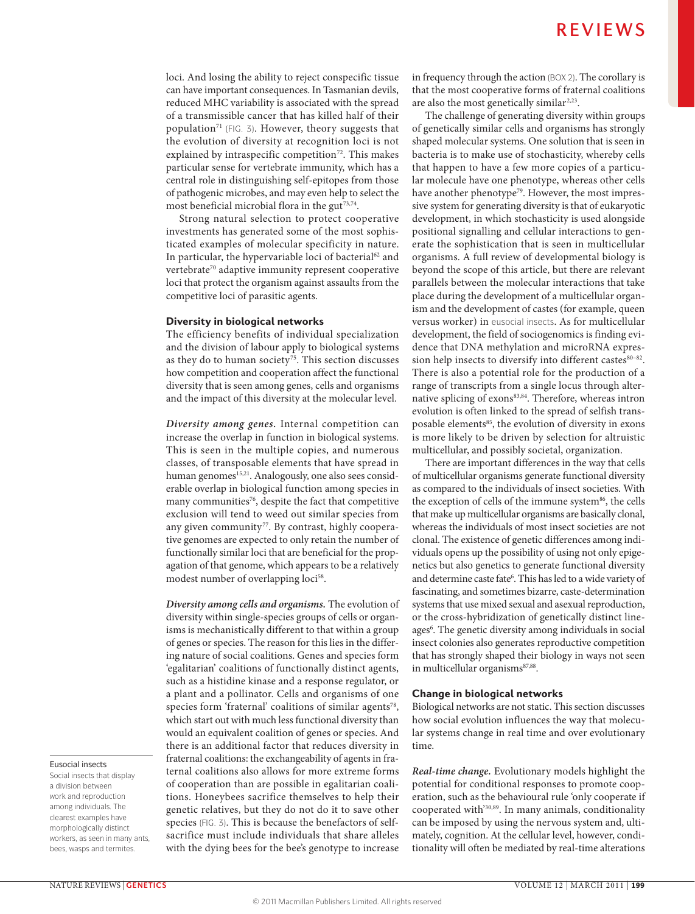loci. And losing the ability to reject conspecific tissue can have important consequences. In Tasmanian devils, reduced MHC variability is associated with the spread of a transmissible cancer that has killed half of their population<sup>71</sup> (FIG. 3). However, theory suggests that the evolution of diversity at recognition loci is not explained by intraspecific competition<sup>72</sup>. This makes particular sense for vertebrate immunity, which has a central role in distinguishing self-epitopes from those of pathogenic microbes, and may even help to select the most beneficial microbial flora in the gut $^{73,74}$ .

Strong natural selection to protect cooperative investments has generated some of the most sophisticated examples of molecular specificity in nature. In particular, the hypervariable loci of bacterial<sup>62</sup> and vertebrate<sup>70</sup> adaptive immunity represent cooperative loci that protect the organism against assaults from the competitive loci of parasitic agents.

#### Diversity in biological networks

The efficiency benefits of individual specialization and the division of labour apply to biological systems as they do to human society<sup>75</sup>. This section discusses how competition and cooperation affect the functional diversity that is seen among genes, cells and organisms and the impact of this diversity at the molecular level.

*Diversity among genes.* Internal competition can increase the overlap in function in biological systems. This is seen in the multiple copies, and numerous classes, of transposable elements that have spread in human genomes<sup>15,21</sup>. Analogously, one also sees considerable overlap in biological function among species in many communities<sup>76</sup>, despite the fact that competitive exclusion will tend to weed out similar species from any given community<sup>77</sup>. By contrast, highly cooperative genomes are expected to only retain the number of functionally similar loci that are beneficial for the propagation of that genome, which appears to be a relatively modest number of overlapping loci<sup>58</sup>.

*Diversity among cells and organisms.* The evolution of diversity within single-species groups of cells or organisms is mechanistically different to that within a group of genes or species. The reason for this lies in the differing nature of social coalitions. Genes and species form 'egalitarian' coalitions of functionally distinct agents, such as a histidine kinase and a response regulator, or a plant and a pollinator. Cells and organisms of one species form 'fraternal' coalitions of similar agents<sup>78</sup>, which start out with much less functional diversity than would an equivalent coalition of genes or species. And there is an additional factor that reduces diversity in fraternal coalitions: the exchangeability of agents in fraternal coalitions also allows for more extreme forms of cooperation than are possible in egalitarian coalitions. Honeybees sacrifice themselves to help their genetic relatives, but they do not do it to save other species (FIG. 3). This is because the benefactors of selfsacrifice must include individuals that share alleles with the dying bees for the bee's genotype to increase in frequency through the action (BOX 2). The corollary is that the most cooperative forms of fraternal coalitions are also the most genetically similar<sup>2,23</sup>.

The challenge of generating diversity within groups of genetically similar cells and organisms has strongly shaped molecular systems. One solution that is seen in bacteria is to make use of stochasticity, whereby cells that happen to have a few more copies of a particular molecule have one phenotype, whereas other cells have another phenotype<sup>79</sup>. However, the most impressive system for generating diversity is that of eukaryotic development, in which stochasticity is used alongside positional signalling and cellular interactions to generate the sophistication that is seen in multicellular organisms. A full review of developmental biology is beyond the scope of this article, but there are relevant parallels between the molecular interactions that take place during the development of a multicellular organism and the development of castes (for example, queen versus worker) in eusocial insects. As for multicellular development, the field of sociogenomics is finding evidence that DNA methylation and microRNA expression help insects to diversify into different castes80-82. There is also a potential role for the production of a range of transcripts from a single locus through alternative splicing of exons<sup>83,84</sup>. Therefore, whereas intron evolution is often linked to the spread of selfish transposable elements<sup>85</sup>, the evolution of diversity in exons is more likely to be driven by selection for altruistic multicellular, and possibly societal, organization.

There are important differences in the way that cells of multicellular organisms generate functional diversity as compared to the individuals of insect societies. With the exception of cells of the immune system<sup>86</sup>, the cells that make up multicellular organisms are basically clonal, whereas the individuals of most insect societies are not clonal. The existence of genetic differences among individuals opens up the possibility of using not only epigenetics but also genetics to generate functional diversity and determine caste fate<sup>6</sup>. This has led to a wide variety of fascinating, and sometimes bizarre, caste-determination systems that use mixed sexual and asexual reproduction, or the cross-hybridization of genetically distinct lineages<sup>6</sup>. The genetic diversity among individuals in social insect colonies also generates reproductive competition that has strongly shaped their biology in ways not seen in multicellular organisms<sup>87,88</sup>.

#### Change in biological networks

Biological networks are not static. This section discusses how social evolution influences the way that molecular systems change in real time and over evolutionary time.

Real-time change. Evolutionary models highlight the potential for conditional responses to promote cooperation, such as the behavioural rule 'only cooperate if cooperated with'30,89. In many animals, conditionality can be imposed by using the nervous system and, ultimately, cognition. At the cellular level, however, conditionality will often be mediated by real-time alterations

#### Eusocial insects

social insects that display a division between work and reproduction among individuals. The clearest examples have morphologically distinct workers, as seen in many ants bees, wasps and termites.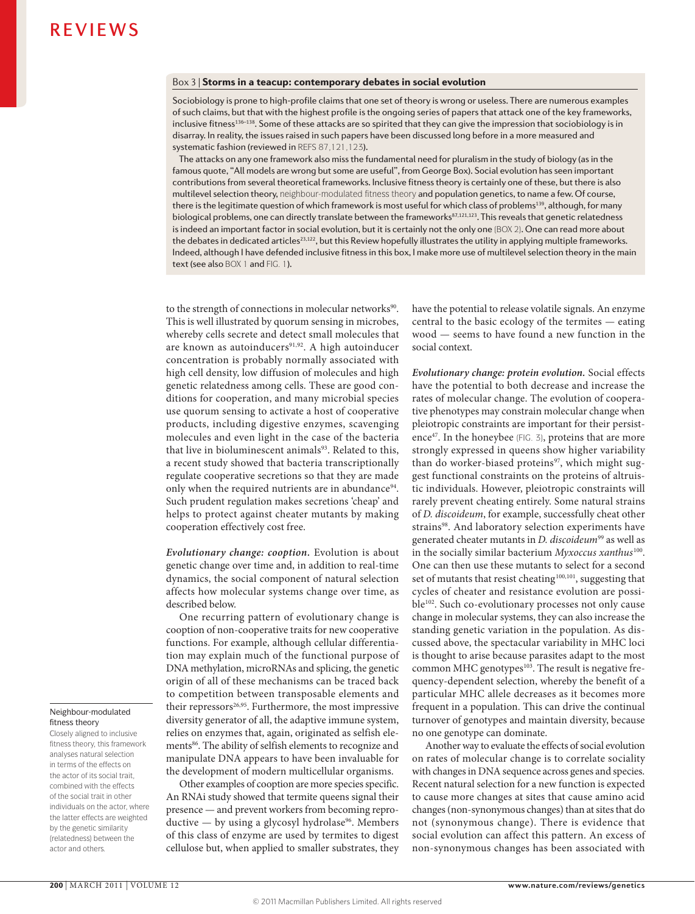#### Box 3 | Storms in a teacup: contemporary debates in social evolution

Sociobiology is prone to high-profile claims that one set of theory is wrong or useless. There are numerous examples of such claims, but that with the highest profile is the ongoing series of papers that attack one of the key frameworks, inclusive fitness<sup>136–138</sup>. Some of these attacks are so spirited that they can give the impression that sociobiology is in disarray. In reality, the issues raised in such papers have been discussed long before in a more measured and systematic fashion (reviewed in ReFs 87,121,123).

The attacks on any one framework also miss the fundamental need for pluralism in the study of biology (as in the famous quote, "All models are wrong but some are useful", from George Box). Social evolution has seen important contributions from several theoretical frameworks. Inclusive fitness theory is certainly one of these, but there is also multilevel selection theory, neighbour-modulated fitness theory and population genetics, to name a few. Of course, there is the legitimate question of which framework is most useful for which class of problems139, although, for many biological problems, one can directly translate between the frameworks<sup>87,121,123</sup>. This reveals that genetic relatedness is indeed an important factor in social evolution, but it is certainly not the only one (BOX 2). One can read more about the debates in dedicated articles23,122, but this Review hopefully illustrates the utility in applying multiple frameworks. Indeed, although I have defended inclusive fitness in this box, I make more use of multilevel selection theory in the main text (see also BOX 1 and FIG. 1).

to the strength of connections in molecular networks<sup>90</sup>. This is well illustrated by quorum sensing in microbes, whereby cells secrete and detect small molecules that are known as autoinducers $91,92$ . A high autoinducer concentration is probably normally associated with high cell density, low diffusion of molecules and high genetic relatedness among cells. These are good conditions for cooperation, and many microbial species use quorum sensing to activate a host of cooperative products, including digestive enzymes, scavenging molecules and even light in the case of the bacteria that live in bioluminescent animals<sup>93</sup>. Related to this, a recent study showed that bacteria transcriptionally regulate cooperative secretions so that they are made only when the required nutrients are in abundance<sup>94</sup>. Such prudent regulation makes secretions 'cheap' and helps to protect against cheater mutants by making cooperation effectively cost free.

*Evolutionary change: cooption.* Evolution is about genetic change over time and, in addition to real-time dynamics, the social component of natural selection affects how molecular systems change over time, as described below.

One recurring pattern of evolutionary change is cooption of non-cooperative traits for new cooperative functions. For example, although cellular differentiation may explain much of the functional purpose of DNA methylation, microRNAs and splicing, the genetic origin of all of these mechanisms can be traced back to competition between transposable elements and their repressors<sup>26,95</sup>. Furthermore, the most impressive diversity generator of all, the adaptive immune system, relies on enzymes that, again, originated as selfish elements<sup>86</sup>. The ability of selfish elements to recognize and manipulate DNA appears to have been invaluable for the development of modern multicellular organisms.

Other examples of cooption are more species specific. An RNAi study showed that termite queens signal their presence — and prevent workers from becoming reproductive  $-$  by using a glycosyl hydrolase<sup>96</sup>. Members of this class of enzyme are used by termites to digest cellulose but, when applied to smaller substrates, they have the potential to release volatile signals. An enzyme central to the basic ecology of the termites — eating wood — seems to have found a new function in the social context.

*Evolutionary change: protein evolution.* Social effects have the potential to both decrease and increase the rates of molecular change. The evolution of cooperative phenotypes may constrain molecular change when pleiotropic constraints are important for their persistence47. In the honeybee (FIG. 3), proteins that are more strongly expressed in queens show higher variability than do worker-biased proteins<sup>97</sup>, which might suggest functional constraints on the proteins of altruistic individuals. However, pleiotropic constraints will rarely prevent cheating entirely. Some natural strains of *D. discoideum*, for example, successfully cheat other strains<sup>98</sup>. And laboratory selection experiments have generated cheater mutants in *D. discoideum*<sup>99</sup> as well as in the socially similar bacterium *Myxoccus xanthus*100. One can then use these mutants to select for a second set of mutants that resist cheating<sup>100,101</sup>, suggesting that cycles of cheater and resistance evolution are possible<sup>102</sup>. Such co-evolutionary processes not only cause change in molecular systems, they can also increase the standing genetic variation in the population. As discussed above, the spectacular variability in MHC loci is thought to arise because parasites adapt to the most common MHC genotypes<sup>103</sup>. The result is negative frequency-dependent selection, whereby the benefit of a particular MHC allele decreases as it becomes more frequent in a population. This can drive the continual turnover of genotypes and maintain diversity, because no one genotype can dominate.

Another way to evaluate the effects of social evolution on rates of molecular change is to correlate sociality with changes in DNA sequence across genes and species. Recent natural selection for a new function is expected to cause more changes at sites that cause amino acid changes (non-synonymous changes) than at sites that do not (synonymous change). There is evidence that social evolution can affect this pattern. An excess of non-synonymous changes has been associated with

#### Neighbour-modulated fitness theory

Closely aligned to inclusive fitness theory, this framework analyses natural selection in terms of the effects on the actor of its social trait, combined with the effects of the social trait in other individuals on the actor, where the latter effects are weighted by the genetic similarity (relatedness) between the actor and others.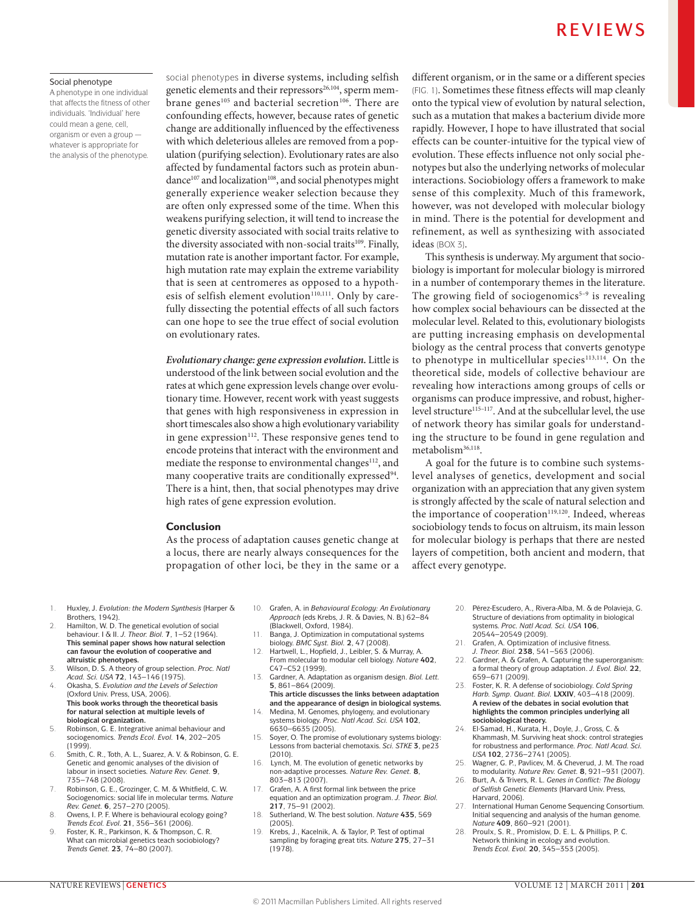#### Social phenotype

A phenotype in one individual that affects the fitness of other individuals. 'Individual' here could mean a gene, cell, organism or even a group whatever is appropriate for the analysis of the phenotype.

social phenotypes in diverse systems, including selfish genetic elements and their repressors<sup>26,104</sup>, sperm membrane genes<sup>105</sup> and bacterial secretion<sup>106</sup>. There are confounding effects, however, because rates of genetic change are additionally influenced by the effectiveness with which deleterious alleles are removed from a population (purifying selection). Evolutionary rates are also affected by fundamental factors such as protein abundance<sup>107</sup> and localization<sup>108</sup>, and social phenotypes might generally experience weaker selection because they are often only expressed some of the time. When this weakens purifying selection, it will tend to increase the genetic diversity associated with social traits relative to the diversity associated with non-social traits<sup>109</sup>. Finally, mutation rate is another important factor. For example, high mutation rate may explain the extreme variability that is seen at centromeres as opposed to a hypothesis of selfish element evolution<sup>110,111</sup>. Only by carefully dissecting the potential effects of all such factors can one hope to see the true effect of social evolution on evolutionary rates.

*Evolutionary change: gene expression evolution.* little is understood of the link between social evolution and the rates at which gene expression levels change over evolutionary time. However, recent work with yeast suggests that genes with high responsiveness in expression in short timescales also show a high evolutionary variability in gene expression<sup>112</sup>. These responsive genes tend to encode proteins that interact with the environment and mediate the response to environmental changes<sup>112</sup>, and many cooperative traits are conditionally expressed<sup>94</sup>. There is a hint, then, that social phenotypes may drive high rates of gene expression evolution.

#### Conclusion

As the process of adaptation causes genetic change at a locus, there are nearly always consequences for the propagation of other loci, be they in the same or a different organism, or in the same or a different species (FIG. 1). Sometimes these fitness effects will map cleanly onto the typical view of evolution by natural selection, such as a mutation that makes a bacterium divide more rapidly. However, I hope to have illustrated that social effects can be counter-intuitive for the typical view of evolution. These effects influence not only social phenotypes but also the underlying networks of molecular interactions. Sociobiology offers a framework to make sense of this complexity. Much of this framework, however, was not developed with molecular biology in mind. There is the potential for development and refinement, as well as synthesizing with associated ideas (BOX 3).

This synthesis is underway. My argument that sociobiology is important for molecular biology is mirrored in a number of contemporary themes in the literature. The growing field of sociogenomics<sup> $5-9$ </sup> is revealing how complex social behaviours can be dissected at the molecular level. Related to this, evolutionary biologists are putting increasing emphasis on developmental biology as the central process that converts genotype to phenotype in multicellular species<sup>113,114</sup>. On the theoretical side, models of collective behaviour are revealing how interactions among groups of cells or organisms can produce impressive, and robust, higherlevel structure<sup>115-117</sup>. And at the subcellular level, the use of network theory has similar goals for understanding the structure to be found in gene regulation and metabolism36,118.

A goal for the future is to combine such systemslevel analyses of genetics, development and social organization with an appreciation that any given system is strongly affected by the scale of natural selection and the importance of cooperation<sup>119,120</sup>. Indeed, whereas sociobiology tends to focus on altruism, its main lesson for molecular biology is perhaps that there are nested layers of competition, both ancient and modern, that affect every genotype.

- 1. Huxley, J. *Evolution: the Modern Synthesis* (Harper & Brothers, 1942).
- 2. Hamilton, W. D. The genetical evolution of social behaviour. I & II. *J. Theor. Biol.* **7**, 1–52 (1964). **This seminal paper shows how natural selection can favour the evolution of cooperative and altruistic phenotypes.**
- 3. Wilson, D. S. A theory of group selection. *Proc. Natl Acad. Sci. USA* **72**, 143–146 (1975).
- 4. Okasha, S. *Evolution and the Levels of Selection* (Oxford Univ. Press, USA, 2006). **This book works through the theoretical basis for natural selection at multiple levels of**
- **biological organization.** 5. Robinson, G. E. Integrative animal behaviour and sociogenomics. *Trends Ecol. Evol.* **14**, 202–205 (1999).
- 6. Smith, C. R., Toth, A. L., Suarez, A. V. & Robinson, G. E. Genetic and genomic analyses of the division of labour in insect societies. *Nature Rev. Genet.* **9**, 735–748 (2008).
- 7. Robinson, G. E., Grozinger, C. M. & Whitfield, C. W. Sociogenomics: social life in molecular terms. *Nature Rev. Genet.* **6**, 257–270 (2005).
- 8. Owens, I. P. F. Where is behavioural ecology going? *Trends Ecol. Evol.* **21**, 356–361 (2006).
- 9. Foster, K. R., Parkinson, K. & Thompson, C. R. What can microbial genetics teach sociobiology? *Trends Genet.* **23**, 74–80 (2007).
- 10. Grafen, A. in *Behavioural Ecology: An Evolutionary Approach* (eds Krebs, J. R. & Davies, N. B.) 62–84 (Blackwell, Oxford, 1984).
- 11. Banga, J. Optimization in computational systems biology. *BMC Syst. Biol.* **2**, 47 (2008).
- 12. Hartwell, L., Hopfield, J., Leibler, S. & Murray, A. From molecular to modular cell biology. *Nature* **402**, C47–C52 (1999).
- 13. Gardner, A. Adaptation as organism design. *Biol. Lett.* **5**, 861–864 (2009).
- **This article discusses the links between adaptation and the appearance of design in biological systems.** 14. Medina, M. Genomes, phylogeny, and evolutionary
- systems biology. *Proc. Natl Acad. Sci. USA* **102**, 6630–6635 (2005).
- Soyer, O. The promise of evolutionary systems biology: Lessons from bacterial chemotaxis. *Sci. STKE* **3**, pe23 (2010).
- 16. Lynch, M. The evolution of genetic networks by non-adaptive processes. *Nature Rev. Genet.* **8**, 803–813 (2007).
- Grafen, A. A first formal link between the price equation and an optimization program. *J. Theor. Biol.* **217**, 75–91 (2002).
- 18. Sutherland, W. The best solution. *Nature* **435**, 569 (2005).
- 19. Krebs, J., Kacelnik, A. & Taylor, P. Test of optimal sampling by foraging great tits. *Nature* **275**, 27–31 (1978).
- 20. Pérez-Escudero, A., Rivera-Alba, M. & de Polavieja, G. Structure of deviations from optimality in biological systems. *Proc. Natl Acad. Sci. USA* **106**, 20544–20549 (2009).
- 21. Grafen, A. Optimization of inclusive fitness. *J. Theor. Biol.* **238**, 541–563 (2006).
- 22. Gardner, A. & Grafen, A. Capturing the superorganism: a formal theory of group adaptation. *J. Evol. Biol.* **22**, 659–671 (2009).
- 23. Foster, K. R. A defense of sociobiology. *Cold Spring Harb. Symp. Quant. Biol.* **LXXIV**, 403–418 (2009). **A review of the debates in social evolution that highlights the common principles underlying all**
- **sociobiological theory.** 24. El-Samad, H., Kurata, H., Doyle, J., Gross, C. & Khammash, M. Surviving heat shock: control strategies for robustness and performance. *Proc. Natl Acad. Sci. USA* **102**, 2736–2741 (2005).
- 25. Wagner, G. P., Pavlicev, M. & Cheverud, J. M. The road to modularity. *Nature Rev. Genet.* **8**, 921–931 (2007).
- 26. Burt, A. & Trivers, R. L. *Genes in Conflict: The Biology of Selfish Genetic Elements* (Harvard Univ. Press, Harvard, 2006).
- 27. International Human Genome Sequencing Consortium*.* Initial sequencing and analysis of the human genome. *Nature* **409**, 860–921 (2001).
- Proulx, S. R., Promislow, D. E. L. & Phillips, P. C. Network thinking in ecology and evolution. *Trends Ecol. Evol.* **20**, 345–353 (2005).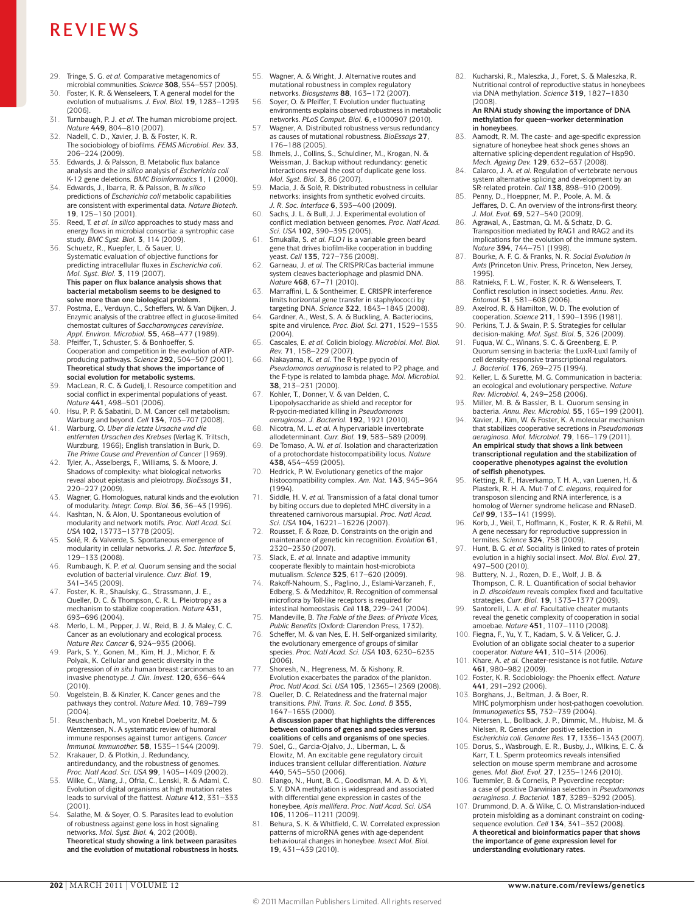- 29. Tringe, S. G. *et al.* Comparative metagenomics of microbial communities. *Science* **308**, 554–557 (2005).
- 30. Foster, K. R. & Wenseleers, T. A general model for the evolution of mutualisms. *J. Evol. Biol.* **19**, 1283–1293 (2006).
- 31. Turnbaugh, P. J. *et al.* The human microbiome project. *Nature* **449**, 804–810 (2007).
- 32. Nadell, C. D., Xavier, J. B. & Foster, K. R. The sociobiology of biofilms. *FEMS Microbiol. Rev.* **33**, 206–224 (2009).
- 33. Edwards, J. & Palsson, B. Metabolic flux balance analysis and the *in silico* analysis of *Escherichia coli* K-12 gene deletions. *BMC Bioinformatics* **1**, 1 (2000).
- 34. Edwards, J., Ibarra, R. & Palsson, B. *In silico*  predictions of *Escherichia coli* metabolic capabilities are consistent with experimental data. *Nature Biotech.* **19**, 125–130 (2001).
- 35. Reed, T. *et al. In silico* approaches to study mass and energy flows in microbial consortia: a syntrophic case study. *BMC Syst. Biol.* **3**, 114 (2009). 36. Schuetz, R., Kuepfer, L. & Sauer, U.
- Systematic evaluation of objective functions for predicting intracellular fluxes in *Escherichia coli*. *Mol. Syst. Biol.* **3**, 119 (2007). **This paper on flux balance analysis shows that bacterial metabolism seems to be designed to solve more than one biological problem.**
- 37. Postma, E., Verduyn, C., Scheffers, W. & Van Dijken, J. Enzymic analysis of the crabtree effect in glucose-limited chemostat cultures of *Saccharomyces cerevisiae*. *Appl. Environ. Microbiol.* **55**, 468–477 (1989). 38. Pfeiffer, T., Schuster, S. & Bonhoeffer, S.
- Cooperation and competition in the evolution of ATPproducing pathways. *Science* **292**, 504–507 (2001). **Theoretical study that shows the importance of social evolution for metabolic systems.**
- 39. MacLean, R. C. & Gudelj, I. Resource competition and social conflict in experimental populations of yeast. *Nature* **441**, 498–501 (2006).
- 40. Hsu, P. P. & Sabatini, D. M. Cancer cell metabolism: Warburg and beyond. *Cell* **134**, 703–707 (2008).
- 41. Warburg, O. *Uber die letzte Ursache und die entfernten Ursachen des Krebses* (Verlag K. Triltsch, Wurzburg, 1966); English translation in Burk, D. *The Prime Cause and Prevention of Cancer* (1969).
- 42. Tyler, A., Asselbergs, F., Williams, S. & Moore, J. Shadows of complexity: what biological networks reveal about epistasis and pleiotropy. *BioEssays* **31**, 220–227 (2009).
- 43. Wagner, G. Homologues, natural kinds and the evolution of modularity. *Integr. Comp. Biol.* **36**, 36–43 (1996).
- Kashtan, N. & Alon, U. Spontaneous evolution of modularity and network motifs. *Proc. Natl Acad. Sci. USA* **102**, 13773–13778 (2005).
- 45. Solé, R. & Valverde, S. Spontaneous emergence of modularity in cellular networks. *J. R. Soc. Interface* **5**, 129–133 (2008).
- 46. Rumbaugh, K. P. *et al.* Quorum sensing and the social evolution of bacterial virulence. *Curr. Biol.* **19**, 341–345 (2009).
- 47. Foster, K. R., Shaulsky, G., Strassmann, J. E., Queller, D. C. & Thompson, C. R. L. Pleiotropy as a mechanism to stabilize cooperation. *Nature* **431**, 693–696 (2004).
- 48. Merlo, L. M., Pepper, J. W., Reid, B. J. & Maley, C. C. Cancer as an evolutionary and ecological process*. Nature Rev. Cancer* **6**, 924–935 (2006).
- 49. Park, S. Y., Gonen, M., Kim, H. J., Michor, F. & Polyak, K. Cellular and genetic diversity in the progression of *in situ* human breast carcinomas to an invasive phenotype. *J. Clin. Invest.* **120**, 636–644 (2010).
- 50. Vogelstein, B. & Kinzler, K. Cancer genes and the pathways they control. *Nature Med.* **10**, 789–799 (2004).
- 51. Reuschenbach, M., von Knebel Doeberitz, M. & Wentzensen, N. A systematic review of humoral immune responses against tumor antigens. *Cancer Immunol. Immunother.* **58**, 1535–1544 (2009).
- 52. Krakauer, D. & Plotkin, J. Redundancy, antiredundancy, and the robustness of genomes. *Proc. Natl Acad. Sci. USA* **99**, 1405–1409 (2002).
- 53. Wilke, C., Wang, J., Ofria, C., Lenski, R. & Adami, C. Evolution of digital organisms at high mutation rates leads to survival of the flattest. *Nature* **412**, 331–333 (2001).
- 54. Salathe, M. & Soyer, O. S. Parasites lead to evolution of robustness against gene loss in host signaling networks. *Mol. Syst. Biol.* **4**, 202 (2008). **Theoretical study showing a link between parasites and the evolution of mutational robustness in hosts.**
- 55. Wagner, A. & Wright, J. Alternative routes and mutational robustness in complex regulatory networks. *Biosystems* **88**, 163–172 (2007).
- 56. Soyer, O. & Pfeiffer, T. Evolution under fluctuating environments explains observed robustness in metabolic networks. *PLoS Comput. Biol.* **6**, e1000907 (2010).
- Wagner, A. Distributed robustness versus redundancy as causes of mutational robustness. *BioEssays* **27**, 176–188 (2005).
- 58. Ihmels, J., Collins, S., Schuldiner, M., Krogan, N. & Weissman, J. Backup without redundancy: genetic interactions reveal the cost of duplicate gene loss. *Mol. Syst. Biol.* **3**, 86 (2007).
- Macia, J. & Solé, R. Distributed robustness in cellular networks: insights from synthetic evolved circuits. *J. R. Soc. Interface* **6**, 393–400 (2009).
- 60. Sachs, J. L. & Bull, J. J. Experimental evolution of conflict mediation between genomes. *Proc. Natl Acad. Sci. USA* **102**, 390–395 (2005).
- 61. Smukalla, S. *et al. FLO1* is a variable green beard gene that drives biofilm-like cooperation in budding yeast. *Cell* **135**, 727–736 (2008).
- 62. Garneau, J. *et al.* The CRISPR/Cas bacterial immune system cleaves bacteriophage and plasmid DNA. *Nature* **468**, 67–71 (2010).
- 63. Marraffini, L. & Sontheimer, E. CRISPR interference limits horizontal gene transfer in staphylococci by targeting DNA. *Science* **322**, 1843–1845 (2008).
- 64. Gardner, A., West, S. A. & Buckling, A. Bacteriocins, spite and virulence. *Proc. Biol. Sci.* **271**, 1529–1535 (2004).
- 65. Cascales, E. *et al.* Colicin biology. *Microbiol. Mol. Biol. Rev.* **71**, 158–229 (2007).
- 66. Nakayama, K. *et al.* The R-type pyocin of *Pseudomonas aeruginosa* is related to P2 phage, and the F-type is related to lambda phage. *Mol. Microbiol.* **38**, 213–231 (2000).
- 67. Kohler, T., Donner, V. & van Delden, C. Lipopolysaccharide as shield and receptor for R-pyocin-mediated killing in *Pseudomonas aeruginosa*. *J. Bacteriol.* **192**, 1921 (2010).
- 68. Nicotra, M. L. *et al.* A hypervariable invertebrate allodeterminant. *Curr. Biol.* **19**, 583–589 (2009).
- 69. De Tomaso, A. W. *et al.* Isolation and characterization of a protochordate histocompatibility locus. *Nature* **438**, 454–459 (2005).
- Hedrick, P. W. Evolutionary genetics of the majo histocompatibility complex. *Am. Nat.* **143**, 945–964 (1994).
- 71. Siddle, H. V. *et al.* Transmission of a fatal clonal tumor by biting occurs due to depleted MHC diversity in a threatened carnivorous marsupial. *Proc. Natl Acad. Sci. USA* **104**, 16221–16226 (2007).
- 72. Rousset, F. & Roze, D. Constraints on the origin and maintenance of genetic kin recognition. *Evolution* **61**, 2320–2330 (2007).
- 73. Slack, E. *et al.* Innate and adaptive immunity cooperate flexibly to maintain host-microbiota mutualism. *Science* **325**, 617–620 (2009).
- 74. Rakoff-Nahoum, S., Paglino, J., Eslami-Varzaneh, F., Edberg, S. & Medzhitov, R. Recognition of commensal microflora by Toll-like receptors is required for intestinal homeostasis. *Cell* **118**, 229–241 (2004).
- 75. Mandeville, B. *The Fable of the Bees: of Private Vices, Public Benefits* (Oxford: Clarendon Press, 1732).
- 76. Scheffer, M. & van Nes, E. H. Self-organized similarity, the evolutionary emergence of groups of similar species. *Proc. Natl Acad. Sci. USA* **103**, 6230–6235  $(2006)$
- 77. Shoresh, N., Hegreness, M. & Kishony, R. Evolution exacerbates the paradox of the plankton. *Proc. Natl Acad. Sci. USA* **105**, 12365–12369 (2008).
- 78. Queller, D. C. Relatedness and the fraternal major transitions. *Phil. Trans. R. Soc. Lond. B* **355**, 1647–1655 (2000). **A discussion paper that highlights the differences between coalitions of genes and species versus**
- **coalitions of cells and organisms of one species.** 79. Süel, G., Garcia-Ojalvo, J., Liberman, L. & Elowitz, M. An excitable gene regulatory circuit induces transient cellular differentiation. *Nature*
- **440**, 545–550 (2006). 80. Elango, N., Hunt, B. G., Goodisman, M. A. D. & Yi, S. V. DNA methylation is widespread and associated with differential gene expression in castes of the honeybee, *Apis mellifera*. *Proc. Natl Acad. Sci. USA* **106**, 11206–11211 (2009).
- 81. Behura, S. K. & Whitfield, C. W. Correlated expression patterns of microRNA genes with age-dependent behavioural changes in honeybee. *Insect Mol. Biol.* **19**, 431–439 (2010).

82. Kucharski, R., Maleszka, J., Foret, S. & Maleszka, R. Nutritional control of reproductive status in honeybees via DNA methylation. *Science* **319**, 1827–1830 (2008).

#### **An RNAi study showing the importance of DNA methylation for queen–worker determination in honeybees.**

- 83. Aamodt, R. M. The caste- and age-specific expression signature of honeybee heat shock genes shows an alternative splicing-dependent regulation of Hsp90. *Mech. Ageing Dev.* **129**, 632–637 (2008).
- 84. Calarco, J. A. *et al.* Regulation of vertebrate nervous system alternative splicing and development by an SR-related protein. *Cell* **138**, 898–910 (2009).
- 85. Penny, D., Hoeppner, M. P., Poole, A. M. & Jeffares, D. C. An overview of the introns-first theory. *J. Mol. Evol.* **69**, 527–540 (2009).
- 86. Agrawal, A., Eastman, Q. M. & Schatz, D. G. Transposition mediated by RAG1 and RAG2 and its implications for the evolution of the immune system. *Nature* **394**, 744–751 (1998).
- 87. Bourke, A. F. G. & Franks, N. R. *Social Evolution in Ants* (Princeton Univ. Press, Princeton, New Jersey, 1995).
- 88. Ratnieks, F. L. W., Foster, K. R. & Wenseleers, T. Conflict resolution in insect societies. *Annu. Rev. Entomol.* **51**, 581–608 (2006).
- 89. Axelrod, R. & Hamilton, W. D. The evolution of cooperation. *Science* **211**, 1390–1396 (1981).
- 90. Perkins, T. J. & Swain, P. S. Strategies for cellular decision-making. *Mol. Syst. Biol.* **5**, 326 (2009). 91. Fuqua, W. C., Winans, S. C. & Greenberg, E. P.
- Quorum sensing in bacteria: the LuxR-LuxI family of cell density-responsive transcriptional regulators. *J. Bacteriol.* **176**, 269–275 (1994).
- 92. Keller, L. & Surette, M. G. Communication in bacteria: an ecological and evolutionary perspective. *Nature Rev. Microbiol.* **4**, 249–258 (2006).
- 93. Miller, M. B. & Bassler, B. L. Quorum sensing in bacteria. *Annu. Rev. Microbiol.* **55**, 165–199 (2001).
- Xavier, J., Kim, W. & Foster, K. A molecular mechanism that stabilizes cooperative secretions in *Pseudomonas aeruginosa*. *Mol. Microbiol.* **79**, 166–179 (2011). **An empirical study that shows a link between transcriptional regulation and the stabilization of cooperative phenotypes against the evolution of selfish phenotypes.**
- 95. Ketting, R. F., Haverkamp, T. H. A., van Luenen, H. & Plasterk, R. H. A. Mut-7 of *C. elegans*, required for transposon silencing and RNA interference, is a homolog of Werner syndrome helicase and RNaseD. *Cell* **99**, 133–141 (1999).
- 96. Korb, J., Weil, T., Hoffmann, K., Foster, K. R. & Rehli, M. A gene necessary for reproductive suppression in termites. *Science* **324**, 758 (2009).
- 97. Hunt, B. G. *et al.* Sociality is linked to rates of protein evolution in a highly social insect. *Mol. Biol. Evol.* **27**, 497–500 (2010).
- 98. Buttery, N. J., Rozen, D. E., Wolf, J. B. & Thompson, C. R. L. Quantification of social behavior in *D. discoideum* reveals complex fixed and facultative strategies. *Curr. Biol.* **19**, 1373–1377 (2009).
- Santorelli, L. A. *et al.* Facultative cheater mutants reveal the genetic complexity of cooperation in social amoebae. *Nature* **451**, 1107–1110 (2008).
- 100. Fiegna, F., Yu, Y. T., Kadam, S. V. & Velicer, G. J. Evolution of an obligate social cheater to a superior cooperator. *Nature* **441**, 310–314 (2006).
- 101. Khare, A. *et al.* Cheater-resistance is not futile. *Nature* **461**, 980–982 (2009).
- 102. Foster, K. R. Sociobiology: the Phoenix effect. *Nature* **441**, 291–292 (2006).
- 103. Borghans, J., Beltman, J. & Boer, R. MHC polymorphism under host-pathogen coevolution. *Immunogenetics* **55**, 732–739 (2004).
- 104. Petersen, L., Bollback, J. P., Dimmic, M., Hubisz, M. & Nielsen, R. Genes under positive selection in *Escherichia coli*. *Genome Res.* **17**, 1336–1343 (2007).
- 105. Dorus, S., Wasbrough, E. R., Busby, J., Wilkins, E. C. & Karr, T. L. Sperm proteomics reveals intensified selection on mouse sperm membrane and acrosome genes. *Mol. Biol. Evol.* **27**, 1235–1246 (2010).
- 106. Tuemmler, B. & Cornelis, P. Pyoverdine receptor: a case of positive Darwinian selection in *Pseudomonas aeruginosa*. *J. Bacteriol.* **187**, 3289–3292 (2005).
- 107. Drummond, D. A. & Wilke, C. O. Mistranslation-induced protein misfolding as a dominant constraint on codingsequence evolution. *Cell* **134**, 341–352 (2008). **A theoretical and bioinformatics paper that shows the importance of gene expression level for understanding evolutionary rates.**